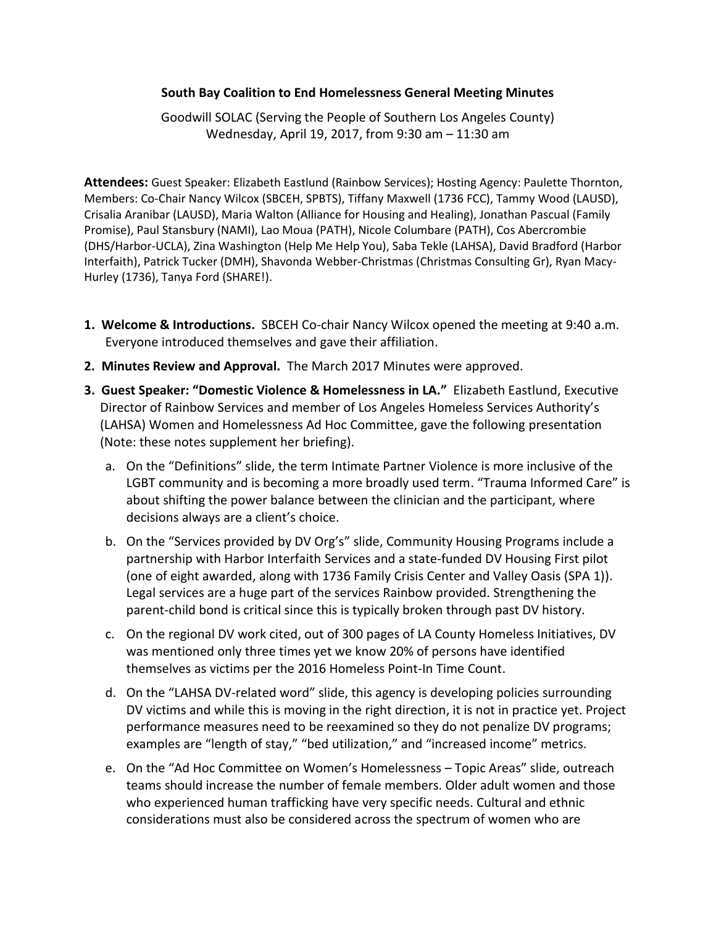## **South Bay Coalition to End Homelessness General Meeting Minutes**

Goodwill SOLAC (Serving the People of Southern Los Angeles County) Wednesday, April 19, 2017, from 9:30 am – 11:30 am

**Attendees:** Guest Speaker: Elizabeth Eastlund (Rainbow Services); Hosting Agency: Paulette Thornton, Members: Co-Chair Nancy Wilcox (SBCEH, SPBTS), Tiffany Maxwell (1736 FCC), Tammy Wood (LAUSD), Crisalia Aranibar (LAUSD), Maria Walton (Alliance for Housing and Healing), Jonathan Pascual (Family Promise), Paul Stansbury (NAMI), Lao Moua (PATH), Nicole Columbare (PATH), Cos Abercrombie (DHS/Harbor-UCLA), Zina Washington (Help Me Help You), Saba Tekle (LAHSA), David Bradford (Harbor Interfaith), Patrick Tucker (DMH), Shavonda Webber-Christmas (Christmas Consulting Gr), Ryan Macy-Hurley (1736), Tanya Ford (SHARE!).

- **1. Welcome & Introductions.** SBCEH Co-chair Nancy Wilcox opened the meeting at 9:40 a.m. Everyone introduced themselves and gave their affiliation.
- **2. Minutes Review and Approval.** The March 2017 Minutes were approved.
- **3. Guest Speaker: "Domestic Violence & Homelessness in LA."** Elizabeth Eastlund, Executive Director of Rainbow Services and member of Los Angeles Homeless Services Authority's (LAHSA) Women and Homelessness Ad Hoc Committee, gave the following presentation (Note: these notes supplement her briefing).
	- a. On the "Definitions" slide, the term Intimate Partner Violence is more inclusive of the LGBT community and is becoming a more broadly used term. "Trauma Informed Care" is about shifting the power balance between the clinician and the participant, where decisions always are a client's choice.
	- b. On the "Services provided by DV Org's" slide, Community Housing Programs include a partnership with Harbor Interfaith Services and a state-funded DV Housing First pilot (one of eight awarded, along with 1736 Family Crisis Center and Valley Oasis (SPA 1)). Legal services are a huge part of the services Rainbow provided. Strengthening the parent-child bond is critical since this is typically broken through past DV history.
	- c. On the regional DV work cited, out of 300 pages of LA County Homeless Initiatives, DV was mentioned only three times yet we know 20% of persons have identified themselves as victims per the 2016 Homeless Point-In Time Count.
	- d. On the "LAHSA DV-related word" slide, this agency is developing policies surrounding DV victims and while this is moving in the right direction, it is not in practice yet. Project performance measures need to be reexamined so they do not penalize DV programs; examples are "length of stay," "bed utilization," and "increased income" metrics.
	- e. On the "Ad Hoc Committee on Women's Homelessness Topic Areas" slide, outreach teams should increase the number of female members. Older adult women and those who experienced human trafficking have very specific needs. Cultural and ethnic considerations must also be considered across the spectrum of women who are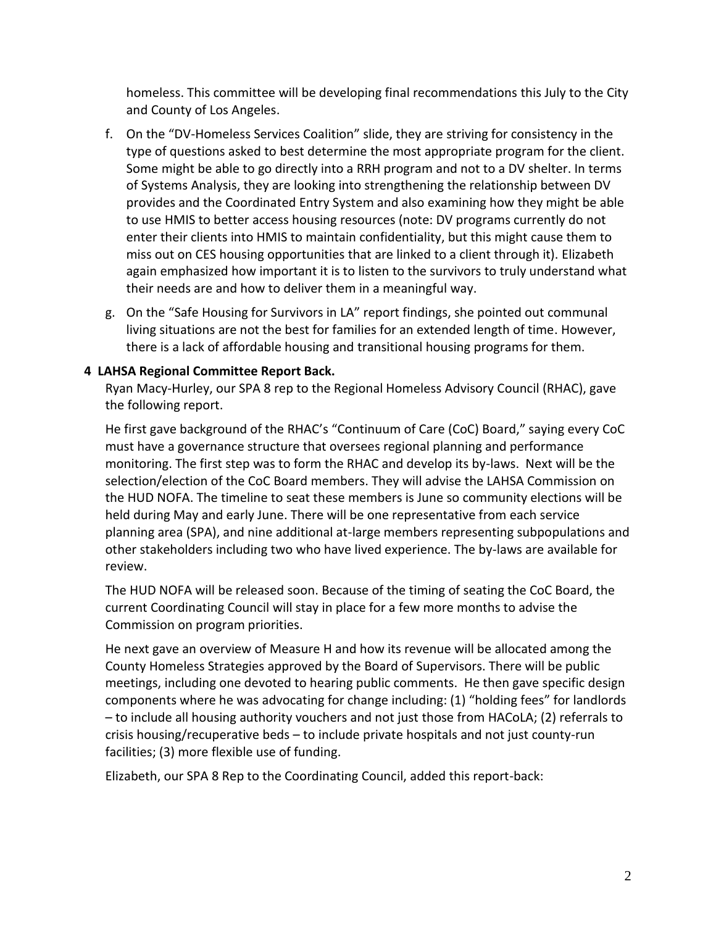homeless. This committee will be developing final recommendations this July to the City and County of Los Angeles.

- f. On the "DV-Homeless Services Coalition" slide, they are striving for consistency in the type of questions asked to best determine the most appropriate program for the client. Some might be able to go directly into a RRH program and not to a DV shelter. In terms of Systems Analysis, they are looking into strengthening the relationship between DV provides and the Coordinated Entry System and also examining how they might be able to use HMIS to better access housing resources (note: DV programs currently do not enter their clients into HMIS to maintain confidentiality, but this might cause them to miss out on CES housing opportunities that are linked to a client through it). Elizabeth again emphasized how important it is to listen to the survivors to truly understand what their needs are and how to deliver them in a meaningful way.
- g. On the "Safe Housing for Survivors in LA" report findings, she pointed out communal living situations are not the best for families for an extended length of time. However, there is a lack of affordable housing and transitional housing programs for them.

## **4 LAHSA Regional Committee Report Back.**

Ryan Macy-Hurley, our SPA 8 rep to the Regional Homeless Advisory Council (RHAC), gave the following report.

He first gave background of the RHAC's "Continuum of Care (CoC) Board," saying every CoC must have a governance structure that oversees regional planning and performance monitoring. The first step was to form the RHAC and develop its by-laws. Next will be the selection/election of the CoC Board members. They will advise the LAHSA Commission on the HUD NOFA. The timeline to seat these members is June so community elections will be held during May and early June. There will be one representative from each service planning area (SPA), and nine additional at-large members representing subpopulations and other stakeholders including two who have lived experience. The by-laws are available for review.

The HUD NOFA will be released soon. Because of the timing of seating the CoC Board, the current Coordinating Council will stay in place for a few more months to advise the Commission on program priorities.

He next gave an overview of Measure H and how its revenue will be allocated among the County Homeless Strategies approved by the Board of Supervisors. There will be public meetings, including one devoted to hearing public comments. He then gave specific design components where he was advocating for change including: (1) "holding fees" for landlords – to include all housing authority vouchers and not just those from HACoLA; (2) referrals to crisis housing/recuperative beds – to include private hospitals and not just county-run facilities; (3) more flexible use of funding.

Elizabeth, our SPA 8 Rep to the Coordinating Council, added this report-back: